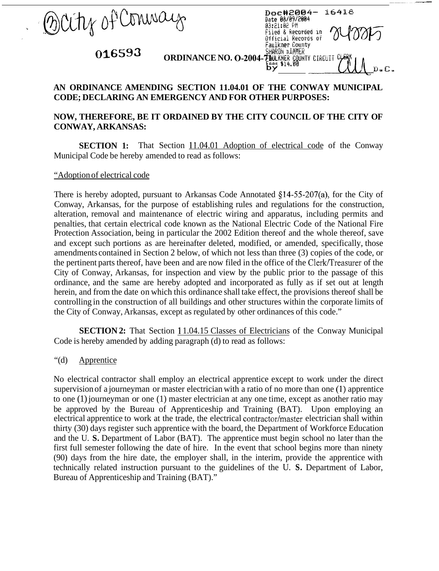Brity of Conneaux

## **;,:'!CaRrih** - IYEk  $\frac{555 \text{ m/s}}{200 \text{ m/s}} = 0.010 \text{ m/s}$ **016593** ORDINANCE NO. 0-2004-71 DERICH TO A CIRCUIT

## **AN ORDINANCE AMENDING SECTION 11.04.01 OF THE CONWAY MUNICIPAL CODE; DECLARING AN EMERGENCY AND FOR OTHER PURPOSES:**

**Faulkner County** 

Date 08/09/2004 03:21:02 PM

Doc#2004-

Filed & Recorded in Official Records of

16418

## **NOW, THEREFORE, BE IT ORDAINED BY THE CITY COUNCIL OF THE CITY OF CONWAY, ARKANSAS:**

**SECTION 1:** That Section 11.04.01 Adoption of electrical code of the Conway Municipal Code be hereby amended to read as follows:

"Adoption of electrical code

There is hereby adopted, pursuant to Arkansas Code Annotated  $\S$ 14-55-207(a), for the City of Conway, Arkansas, for the purpose of establishing rules and regulations for the construction, alteration, removal and maintenance of electric wiring and apparatus, including permits and penalties, that certain electrical code known as the National Electric Code of the National Fire Protection Association, being in particular the 2002 Edition thereof and the whole thereof, save and except such portions as are hereinafter deleted, modified, or amended, specifically, those amendments contained in Section 2 below, of which not less than three (3) copies of the code, or the pertinent parts thereof, have been and are now filed in the office of the Clerk/Treasurer of the City of Conway, Arkansas, for inspection and view by the public prior to the passage of this ordinance, and the same are hereby adopted and incorporated as fully as if set out at length herein, and from the date on which this ordinance shall take effect, the provisions thereof shall be controlling in the construction of all buildings and other structures within the corporate limits of the City of Conway, Arkansas, except as regulated by other ordinances of this code."

**SECTION 2:** That Section 11.04.15 Classes of Electricians of the Conway Municipal Code is hereby amended by adding paragraph (d) to read as follows:

## "(d) Apprentice

No electrical contractor shall employ an electrical apprentice except to work under the direct supervision of a journeyman or master electrician with a ratio of no more than one (1) apprentice to one (1) journeyman or one (1) master electrician at any one time, except as another ratio may be approved by the Bureau of Apprenticeship and Training (BAT). Upon employing an electrical apprentice to work at the trade, the electrical contractor/master electrician shall within thirty (30) days register such apprentice with the board, the Department of Workforce Education and the U. **S.** Department of Labor (BAT). The apprentice must begin school no later than the first full semester following the date of hire. In the event that school begins more than ninety (90) days from the hire date, the employer shall, in the interim, provide the apprentice with technically related instruction pursuant to the guidelines of the U. **S.** Department of Labor, Bureau of Apprenticeship and Training (BAT)."